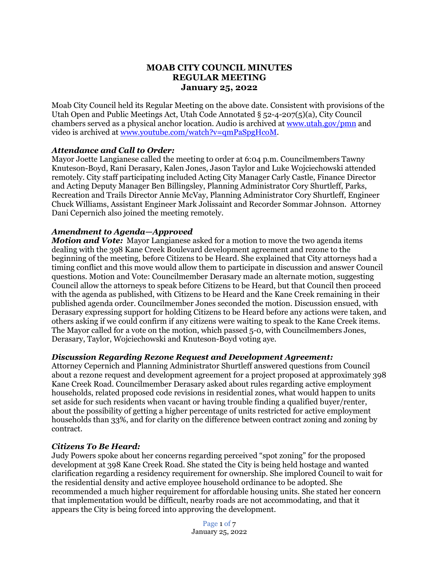# **MOAB CITY COUNCIL MINUTES REGULAR MEETING January 25, 2022**

Moab City Council held its Regular Meeting on the above date. Consistent with provisions of the Utah Open and Public Meetings Act, Utah Code Annotated § 52-4-207(5)(a), City Council chambers served as a physical anchor location. Audio is archived at [www.utah.gov/pmn](about:blank) and video is archived at [www.youtube.com/watch?v=qmPaSpgHcoM.](about:blank)

### *Attendance and Call to Order:*

Mayor Joette Langianese called the meeting to order at 6:04 p.m. Councilmembers Tawny Knuteson-Boyd, Rani Derasary, Kalen Jones, Jason Taylor and Luke Wojciechowski attended remotely. City staff participating included Acting City Manager Carly Castle, Finance Director and Acting Deputy Manager Ben Billingsley, Planning Administrator Cory Shurtleff, Parks, Recreation and Trails Director Annie McVay, Planning Administrator Cory Shurtleff, Engineer Chuck Williams, Assistant Engineer Mark Jolissaint and Recorder Sommar Johnson. Attorney Dani Cepernich also joined the meeting remotely.

# *Amendment to Agenda—Approved*

*Motion and Vote:* Mayor Langianese asked for a motion to move the two agenda items dealing with the 398 Kane Creek Boulevard development agreement and rezone to the beginning of the meeting, before Citizens to be Heard. She explained that City attorneys had a timing conflict and this move would allow them to participate in discussion and answer Council questions. Motion and Vote: Councilmember Derasary made an alternate motion, suggesting Council allow the attorneys to speak before Citizens to be Heard, but that Council then proceed with the agenda as published, with Citizens to be Heard and the Kane Creek remaining in their published agenda order. Councilmember Jones seconded the motion. Discussion ensued, with Derasary expressing support for holding Citizens to be Heard before any actions were taken, and others asking if we could confirm if any citizens were waiting to speak to the Kane Creek items. The Mayor called for a vote on the motion, which passed 5-0, with Councilmembers Jones, Derasary, Taylor, Wojciechowski and Knuteson-Boyd voting aye.

### *Discussion Regarding Rezone Request and Development Agreement:*

Attorney Cepernich and Planning Administrator Shurtleff answered questions from Council about a rezone request and development agreement for a project proposed at approximately 398 Kane Creek Road. Councilmember Derasary asked about rules regarding active employment households, related proposed code revisions in residential zones, what would happen to units set aside for such residents when vacant or having trouble finding a qualified buyer/renter, about the possibility of getting a higher percentage of units restricted for active employment households than 33%, and for clarity on the difference between contract zoning and zoning by contract.

### *Citizens To Be Heard:*

Judy Powers spoke about her concerns regarding perceived "spot zoning" for the proposed development at 398 Kane Creek Road. She stated the City is being held hostage and wanted clarification regarding a residency requirement for ownership. She implored Council to wait for the residential density and active employee household ordinance to be adopted. She recommended a much higher requirement for affordable housing units. She stated her concern that implementation would be difficult, nearby roads are not accommodating, and that it appears the City is being forced into approving the development.

> Page 1 of 7 January 25, 2022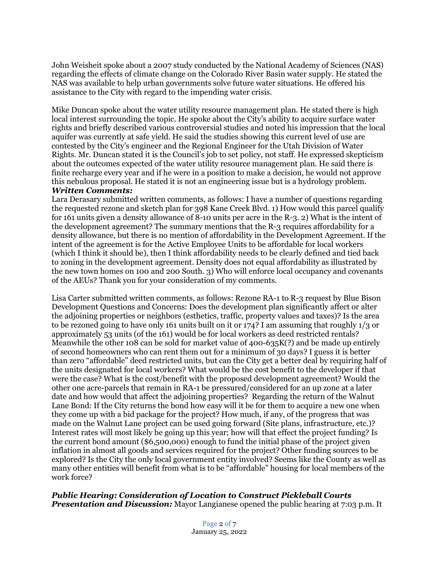John Weisheit spoke about a 2007 study conducted by the National Academy of Sciences (NAS) regarding the effects of climate change on the Colorado River Basin water supply. He stated the NAS was available to help urban governments solve future water situations. He offered his assistance to the City with regard to the impending water crisis.

Mike Duncan spoke about the water utility resource management plan. He stated there is high local interest surrounding the topic. He spoke about the City's ability to acquire surface water rights and briefly described various controversial studies and noted his impression that the local aquifer was currently at safe yield. He said the studies showing this current level of use are contested by the City's engineer and the Regional Engineer for the Utah Division of Water Rights. Mr. Duncan stated it is the Council's job to set policy, not staff. He expressed skepticism about the outcomes expected of the water utility resource management plan. He said there is finite recharge every year and if he were in a position to make a decision, he would not approve this nebulous proposal. He stated it is not an engineering issue but is a hydrology problem. *Written Comments:*

Lara Derasary submitted written comments, as follows: I have a number of questions regarding the requested rezone and sketch plan for 398 Kane Creek Blvd. 1) How would this parcel qualify for 161 units given a density allowance of 8-10 units per acre in the R-3. 2) What is the intent of the development agreement? The summary mentions that the R-3 requires affordability for a density allowance, but there is no mention of affordability in the Development Agreement. If the intent of the agreement is for the Active Employee Units to be affordable for local workers (which I think it should be), then I think affordability needs to be clearly defined and tied back to zoning in the development agreement. Density does not equal affordability as illustrated by the new town homes on 100 and 200 South. 3) Who will enforce local occupancy and covenants of the AEUs? Thank you for your consideration of my comments.

Lisa Carter submitted written comments, as follows: Rezone RA-1 to R-3 request by Blue Bison Development Questions and Concerns: Does the development plan significantly affect or alter the adjoining properties or neighbors (esthetics, traffic, property values and taxes)? Is the area to be rezoned going to have only 161 units built on it or 174? I am assuming that roughly 1/3 or approximately 53 units (of the 161) would be for local workers as deed restricted rentals? Meanwhile the other 108 can be sold for market value of 400-635K(?) and be made up entirely of second homeowners who can rent them out for a minimum of 30 days? I guess it is better than zero "affordable" deed restricted units, but can the City get a better deal by requiring half of the units designated for local workers? What would be the cost benefit to the developer if that were the case? What is the cost/benefit with the proposed development agreement? Would the other one acre-parcels that remain in RA-1 be pressured/considered for an up zone at a later date and how would that affect the adjoining properties? Regarding the return of the Walnut Lane Bond: If the City returns the bond how easy will it be for them to acquire a new one when they come up with a bid package for the project? How much, if any, of the progress that was made on the Walnut Lane project can be used going forward (Site plans, infrastructure, etc.)? Interest rates will most likely be going up this year; how will that effect the project funding? Is the current bond amount (\$6,500,000) enough to fund the initial phase of the project given inflation in almost all goods and services required for the project? Other funding sources to be explored? Is the City the only local government entity involved? Seems like the County as well as many other entities will benefit from what is to be "affordable" housing for local members of the work force?

### *Public Hearing: Consideration of Location to Construct Pickleball Courts Presentation and Discussion:* Mayor Langianese opened the public hearing at 7:03 p.m. It

Page 2 of 7 January 25, 2022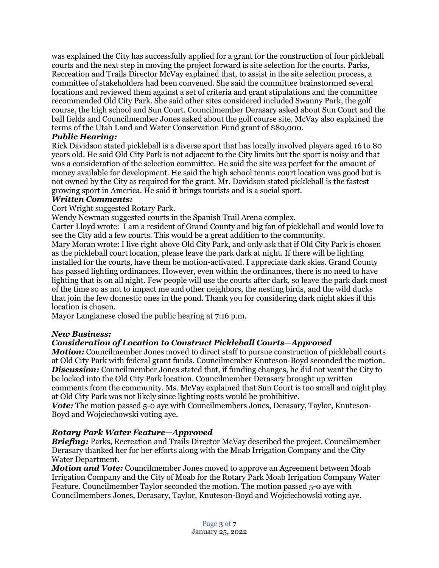was explained the City has successfully applied for a grant for the construction of four pickleball courts and the next step in moving the project forward is site selection for the courts. Parks, Recreation and Trails Director McVay explained that, to assist in the site selection process, a committee of stakeholders had been convened. She said the committee brainstormed several locations and reviewed them against a set of criteria and grant stipulations and the committee recommended Old City Park. She said other sites considered included Swanny Park, the golf course, the high school and Sun Court. Councilmember Derasary asked about Sun Court and the ball fields and Councilmember Jones asked about the golf course site. McVay also explained the terms of the Utah Land and Water Conservation Fund grant of \$80,000.

# *Public Hearing:*

Rick Davidson stated pickleball is a diverse sport that has locally involved players aged 16 to 80 years old. He said Old City Park is not adjacent to the City limits but the sport is noisy and that was a consideration of the selection committee. He said the site was perfect for the amount of money available for development. He said the high school tennis court location was good but is not owned by the City as required for the grant. Mr. Davidson stated pickleball is the fastest growing sport in America. He said it brings tourists and is a social sport.

### *Written Comments:*

Cort Wright suggested Rotary Park.

Wendy Newman suggested courts in the Spanish Trail Arena complex.

Carter Lloyd wrote: I am a resident of Grand County and big fan of pickleball and would love to see the City add a few courts. This would be a great addition to the community.

Mary Moran wrote: I live right above Old City Park, and only ask that if Old City Park is chosen as the pickleball court location, please leave the park dark at night. If there will be lighting installed for the courts, have them be motion-activated. I appreciate dark skies. Grand County has passed lighting ordinances. However, even within the ordinances, there is no need to have lighting that is on all night. Few people will use the courts after dark, so leave the park dark most of the time so as not to impact me and other neighbors, the nesting birds, and the wild ducks that join the few domestic ones in the pond. Thank you for considering dark night skies if this location is chosen.

Mayor Langianese closed the public hearing at 7:16 p.m.

### *New Business:*

### *Consideration of Location to Construct Pickleball Courts—Approved*

*Motion:* Councilmember Jones moved to direct staff to pursue construction of pickleball courts at Old City Park with federal grant funds. Councilmember Knuteson-Boyd seconded the motion. **Discussion:** Councilmember Jones stated that, if funding changes, he did not want the City to be locked into the Old City Park location. Councilmember Derasary brought up written comments from the community. Ms. McVay explained that Sun Court is too small and night play at Old City Park was not likely since lighting costs would be prohibitive.

*Vote:* The motion passed 5-0 aye with Councilmembers Jones, Derasary, Taylor, Knuteson-Boyd and Wojciechowski voting aye.

### *Rotary Park Water Feature—Approved*

*Briefing:* Parks, Recreation and Trails Director McVay described the project. Councilmember Derasary thanked her for her efforts along with the Moab Irrigation Company and the City Water Department.

*Motion and Vote:* Councilmember Jones moved to approve an Agreement between Moab Irrigation Company and the City of Moab for the Rotary Park Moab Irrigation Company Water Feature. Councilmember Taylor seconded the motion. The motion passed 5-0 aye with Councilmembers Jones, Derasary, Taylor, Knuteson-Boyd and Wojciechowski voting aye.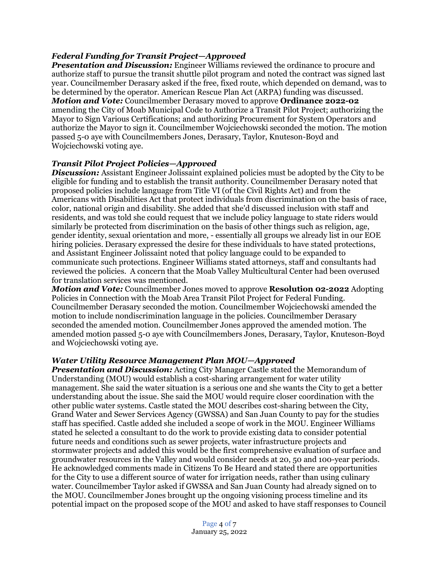# *Federal Funding for Transit Project—Approved*

*Presentation and Discussion:* Engineer Williams reviewed the ordinance to procure and authorize staff to pursue the transit shuttle pilot program and noted the contract was signed last year. Councilmember Derasary asked if the free, fixed route, which depended on demand, was to be determined by the operator. American Rescue Plan Act (ARPA) funding was discussed. *Motion and Vote:* Councilmember Derasary moved to approve **Ordinance 2022-02** amending the City of Moab Municipal Code to Authorize a Transit Pilot Project; authorizing the Mayor to Sign Various Certifications; and authorizing Procurement for System Operators and authorize the Mayor to sign it. Councilmember Wojciechowski seconded the motion. The motion passed 5-0 aye with Councilmembers Jones, Derasary, Taylor, Knuteson-Boyd and Wojciechowski voting aye.

### *Transit Pilot Project Policies—Approved*

**Discussion:** Assistant Engineer Jolissaint explained policies must be adopted by the City to be eligible for funding and to establish the transit authority. Councilmember Derasary noted that proposed policies include language from Title VI (of the Civil Rights Act) and from the Americans with Disabilities Act that protect individuals from discrimination on the basis of race, color, national origin and disability. She added that she'd discussed inclusion with staff and residents, and was told she could request that we include policy language to state riders would similarly be protected from discrimination on the basis of other things such as religion, age, gender identity, sexual orientation and more, - essentially all groups we already list in our EOE hiring policies. Derasary expressed the desire for these individuals to have stated protections, and Assistant Engineer Jolissaint noted that policy language could to be expanded to communicate such protections. Engineer Williams stated attorneys, staff and consultants had reviewed the policies. A concern that the Moab Valley Multicultural Center had been overused for translation services was mentioned.

*Motion and Vote:* Councilmember Jones moved to approve **Resolution 02-2022** Adopting Policies in Connection with the Moab Area Transit Pilot Project for Federal Funding. Councilmember Derasary seconded the motion. Councilmember Wojciechowski amended the motion to include nondiscrimination language in the policies. Councilmember Derasary seconded the amended motion. Councilmember Jones approved the amended motion. The amended motion passed 5-0 aye with Councilmembers Jones, Derasary, Taylor, Knuteson-Boyd and Wojciechowski voting aye.

### *Water Utility Resource Management Plan MOU—Approved*

*Presentation and Discussion:* Acting City Manager Castle stated the Memorandum of Understanding (MOU) would establish a cost-sharing arrangement for water utility management. She said the water situation is a serious one and she wants the City to get a better understanding about the issue. She said the MOU would require closer coordination with the other public water systems. Castle stated the MOU describes cost-sharing between the City, Grand Water and Sewer Services Agency (GWSSA) and San Juan County to pay for the studies staff has specified. Castle added she included a scope of work in the MOU. Engineer Williams stated he selected a consultant to do the work to provide existing data to consider potential future needs and conditions such as sewer projects, water infrastructure projects and stormwater projects and added this would be the first comprehensive evaluation of surface and groundwater resources in the Valley and would consider needs at 20, 50 and 100-year periods. He acknowledged comments made in Citizens To Be Heard and stated there are opportunities for the City to use a different source of water for irrigation needs, rather than using culinary water. Councilmember Taylor asked if GWSSA and San Juan County had already signed on to the MOU. Councilmember Jones brought up the ongoing visioning process timeline and its potential impact on the proposed scope of the MOU and asked to have staff responses to Council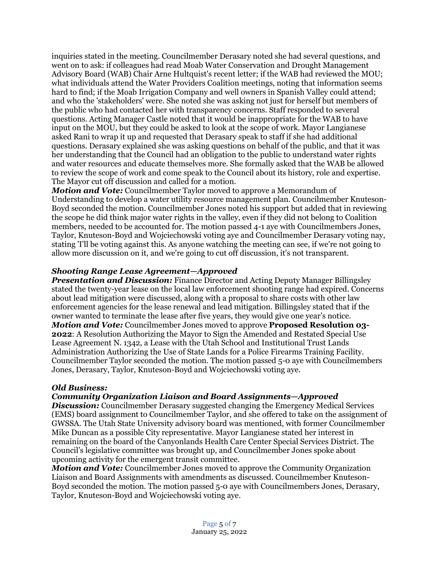inquiries stated in the meeting. Councilmember Derasary noted she had several questions, and went on to ask: if colleagues had read Moab Water Conservation and Drought Management Advisory Board (WAB) Chair Arne Hultquist's recent letter; if the WAB had reviewed the MOU; what individuals attend the Water Providers Coalition meetings, noting that information seems hard to find; if the Moab Irrigation Company and well owners in Spanish Valley could attend; and who the 'stakeholders' were. She noted she was asking not just for herself but members of the public who had contacted her with transparency concerns. Staff responded to several questions. Acting Manager Castle noted that it would be inappropriate for the WAB to have input on the MOU, but they could be asked to look at the scope of work. Mayor Langianese asked Rani to wrap it up and requested that Derasary speak to staff if she had additional questions. Derasary explained she was asking questions on behalf of the public, and that it was her understanding that the Council had an obligation to the public to understand water rights and water resources and educate themselves more. She formally asked that the WAB be allowed to review the scope of work and come speak to the Council about its history, role and expertise. The Mayor cut off discussion and called for a motion.

*Motion and Vote:* Councilmember Taylor moved to approve a Memorandum of Understanding to develop a water utility resource management plan. Councilmember Knuteson-Boyd seconded the motion. Councilmember Jones noted his support but added that in reviewing the scope he did think major water rights in the valley, even if they did not belong to Coalition members, needed to be accounted for. The motion passed 4-1 aye with Councilmembers Jones, Taylor, Knuteson-Boyd and Wojciechowski voting aye and Councilmember Derasary voting nay, stating 'I'll be voting against this. As anyone watching the meeting can see, if we're not going to allow more discussion on it, and we're going to cut off discussion, it's not transparent.

# *Shooting Range Lease Agreement—Approved*

*Presentation and Discussion:* Finance Director and Acting Deputy Manager Billingsley stated the twenty-year lease on the local law enforcement shooting range had expired. Concerns about lead mitigation were discussed, along with a proposal to share costs with other law enforcement agencies for the lease renewal and lead mitigation. Billingsley stated that if the owner wanted to terminate the lease after five years, they would give one year's notice. *Motion and Vote:* Councilmember Jones moved to approve **Proposed Resolution 03- 2022**: A Resolution Authorizing the Mayor to Sign the Amended and Restated Special Use Lease Agreement N. 1342, a Lease with the Utah School and Institutional Trust Lands Administration Authorizing the Use of State Lands for a Police Firearms Training Facility. Councilmember Taylor seconded the motion. The motion passed 5-0 aye with Councilmembers Jones, Derasary, Taylor, Knuteson-Boyd and Wojciechowski voting aye.

### *Old Business:*

### *Community Organization Liaison and Board Assignments—Approved*

*Discussion:* Councilmember Derasary suggested changing the Emergency Medical Services (EMS) board assignment to Councilmember Taylor, and she offered to take on the assignment of GWSSA. The Utah State University advisory board was mentioned, with former Councilmember Mike Duncan as a possible City representative. Mayor Langianese stated her interest in remaining on the board of the Canyonlands Health Care Center Special Services District. The Council's legislative committee was brought up, and Councilmember Jones spoke about upcoming activity for the emergent transit committee.

*Motion and Vote:* Councilmember Jones moved to approve the Community Organization Liaison and Board Assignments with amendments as discussed. Councilmember Knuteson-Boyd seconded the motion. The motion passed 5-0 aye with Councilmembers Jones, Derasary, Taylor, Knuteson-Boyd and Wojciechowski voting aye.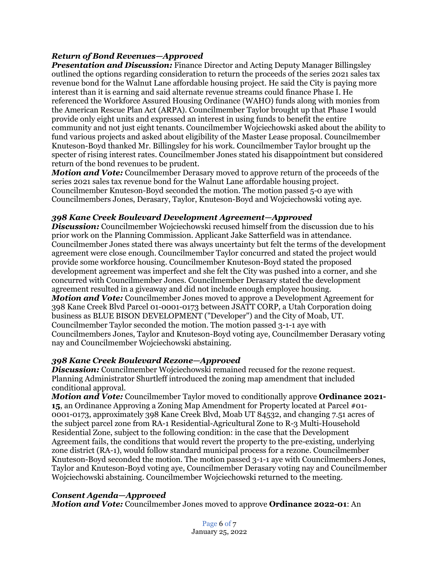# *Return of Bond Revenues—Approved*

*Presentation and Discussion:* Finance Director and Acting Deputy Manager Billingsley outlined the options regarding consideration to return the proceeds of the series 2021 sales tax revenue bond for the Walnut Lane affordable housing project. He said the City is paying more interest than it is earning and said alternate revenue streams could finance Phase I. He referenced the Workforce Assured Housing Ordinance (WAHO) funds along with monies from the American Rescue Plan Act (ARPA). Councilmember Taylor brought up that Phase I would provide only eight units and expressed an interest in using funds to benefit the entire community and not just eight tenants. Councilmember Wojciechowski asked about the ability to fund various projects and asked about eligibility of the Master Lease proposal. Councilmember Knuteson-Boyd thanked Mr. Billingsley for his work. Councilmember Taylor brought up the specter of rising interest rates. Councilmember Jones stated his disappointment but considered return of the bond revenues to be prudent.

*Motion and Vote:* Councilmember Derasary moved to approve return of the proceeds of the series 2021 sales tax revenue bond for the Walnut Lane affordable housing project. Councilmember Knuteson-Boyd seconded the motion. The motion passed 5-0 aye with Councilmembers Jones, Derasary, Taylor, Knuteson-Boyd and Wojciechowski voting aye.

#### *398 Kane Creek Boulevard Development Agreement—Approved*

*Discussion:* Councilmember Wojciechowski recused himself from the discussion due to his prior work on the Planning Commission. Applicant Jake Satterfield was in attendance. Councilmember Jones stated there was always uncertainty but felt the terms of the development agreement were close enough. Councilmember Taylor concurred and stated the project would provide some workforce housing. Councilmember Knuteson-Boyd stated the proposed development agreement was imperfect and she felt the City was pushed into a corner, and she concurred with Councilmember Jones. Councilmember Derasary stated the development agreement resulted in a giveaway and did not include enough employee housing. *Motion and Vote:* Councilmember Jones moved to approve a Development Agreement for 398 Kane Creek Blvd Parcel 01-0001-0173 between JSATT CORP, a Utah Corporation doing business as BLUE BISON DEVELOPMENT ("Developer") and the City of Moab, UT. Councilmember Taylor seconded the motion. The motion passed 3-1-1 aye with Councilmembers Jones, Taylor and Knuteson-Boyd voting aye, Councilmember Derasary voting nay and Councilmember Wojciechowski abstaining.

#### *398 Kane Creek Boulevard Rezone—Approved*

*Discussion:* Councilmember Wojciechowski remained recused for the rezone request. Planning Administrator Shurtleff introduced the zoning map amendment that included conditional approval.

*Motion and Vote:* Councilmember Taylor moved to conditionally approve **Ordinance 2021- 15**, an Ordinance Approving a Zoning Map Amendment for Property located at Parcel #01- 0001-0173, approximately 398 Kane Creek Blvd, Moab UT 84532, and changing 7.51 acres of the subject parcel zone from RA-1 Residential-Agricultural Zone to R-3 Multi-Household Residential Zone, subject to the following condition: in the case that the Development Agreement fails, the conditions that would revert the property to the pre-existing, underlying zone district (RA-1), would follow standard municipal process for a rezone. Councilmember Knuteson-Boyd seconded the motion. The motion passed 3-1-1 aye with Councilmembers Jones, Taylor and Knuteson-Boyd voting aye, Councilmember Derasary voting nay and Councilmember Wojciechowski abstaining. Councilmember Wojciechowski returned to the meeting.

### *Consent Agenda—Approved*

*Motion and Vote:* Councilmember Jones moved to approve **Ordinance 2022-01**: An

Page 6 of 7 January 25, 2022